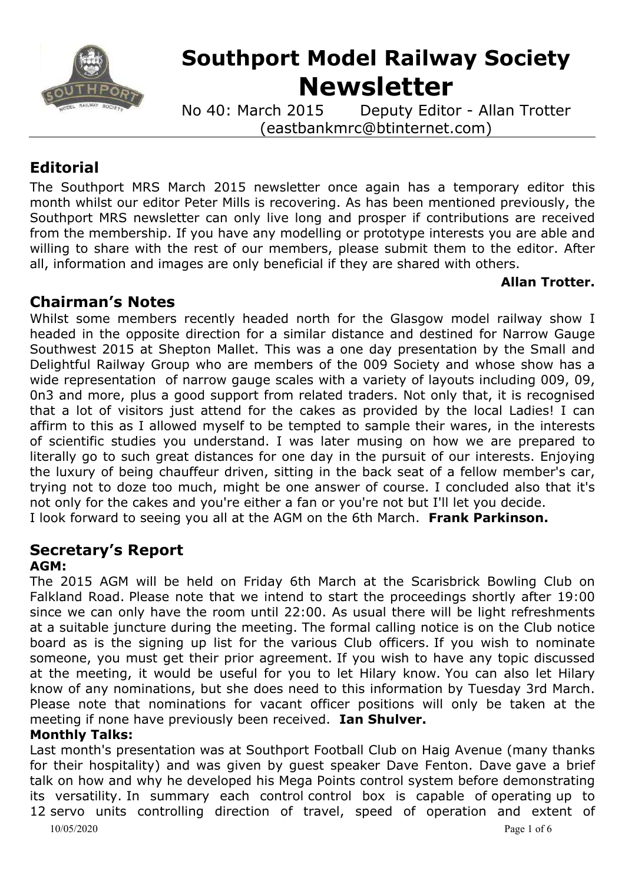

# **Southport Model Railway Society Newsletter**

No 40: March 2015 Deputy Editor - Allan Trotter (eastbankmrc@btinternet.com)

# **Editorial**

The Southport MRS March 2015 newsletter once again has a temporary editor this month whilst our editor Peter Mills is recovering. As has been mentioned previously, the Southport MRS newsletter can only live long and prosper if contributions are received from the membership. If you have any modelling or prototype interests you are able and willing to share with the rest of our members, please submit them to the editor. After all, information and images are only beneficial if they are shared with others.

#### **Allan Trotter.**

# **Chairman's Notes**

Whilst some members recently headed north for the Glasgow model railway show I headed in the opposite direction for a similar distance and destined for Narrow Gauge Southwest 2015 at Shepton Mallet. This was a one day presentation by the Small and Delightful Railway Group who are members of the 009 Society and whose show has a wide representation of narrow gauge scales with a variety of layouts including 009, 09, 0n3 and more, plus a good support from related traders. Not only that, it is recognised that a lot of visitors just attend for the cakes as provided by the local Ladies! I can affirm to this as I allowed myself to be tempted to sample their wares, in the interests of scientific studies you understand. I was later musing on how we are prepared to literally go to such great distances for one day in the pursuit of our interests. Enjoying the luxury of being chauffeur driven, sitting in the back seat of a fellow member's car, trying not to doze too much, might be one answer of course. I concluded also that it's not only for the cakes and you're either a fan or you're not but I'll let you decide. I look forward to seeing you all at the AGM on the 6th March. **Frank Parkinson.**

#### **Secretary's Report AGM:**

The 2015 AGM will be held on Friday 6th March at the Scarisbrick Bowling Club on Falkland Road. Please note that we intend to start the proceedings shortly after 19:00 since we can only have the room until 22:00. As usual there will be light refreshments at a suitable juncture during the meeting. The formal calling notice is on the Club notice board as is the signing up list for the various Club officers. If you wish to nominate someone, you must get their prior agreement. If you wish to have any topic discussed at the meeting, it would be useful for you to let Hilary know. You can also let Hilary know of any nominations, but she does need to this information by Tuesday 3rd March. Please note that nominations for vacant officer positions will only be taken at the meeting if none have previously been received. **Ian Shulver.**

# **Monthly Talks:**

10/05/2020 Page 1 of 6 Last month's presentation was at Southport Football Club on Haig Avenue (many thanks for their hospitality) and was given by quest speaker Dave Fenton. Dave gave a brief talk on how and why he developed his Mega Points control system before demonstrating its versatility. In summary each control control box is capable of operating up to 12 servo units controlling direction of travel, speed of operation and extent of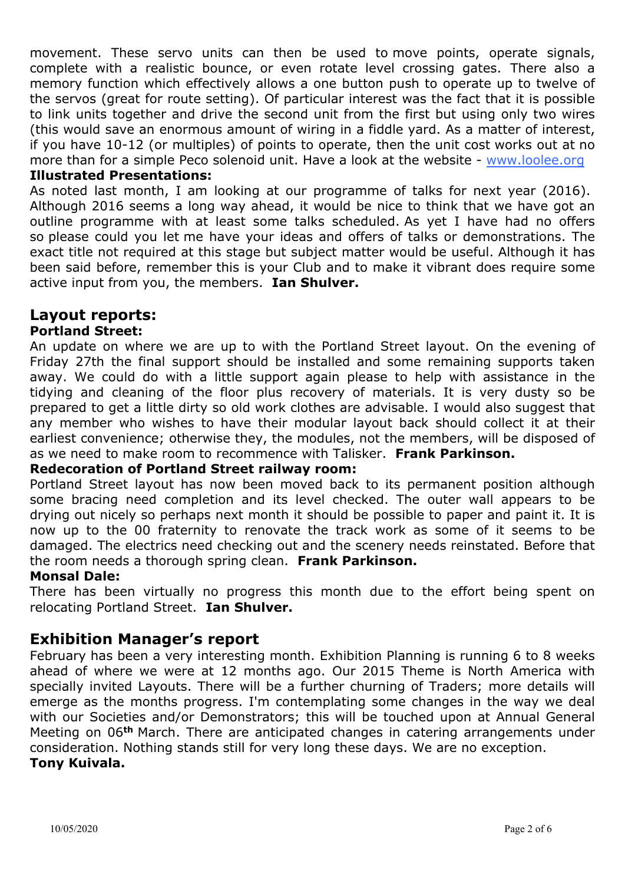movement. These servo units can then be used to move points, operate signals, complete with a realistic bounce, or even rotate level crossing gates. There also a memory function which effectively allows a one button push to operate up to twelve of the servos (great for route setting). Of particular interest was the fact that it is possible to link units together and drive the second unit from the first but using only two wires (this would save an enormous amount of wiring in a fiddle yard. As a matter of interest, if you have 10-12 (or multiples) of points to operate, then the unit cost works out at no more than for a simple Peco solenoid unit. Have a look at the website - [www.loolee.org](http://www.loolee.org/)

#### **Illustrated Presentations:**

As noted last month, I am looking at our programme of talks for next year (2016). Although 2016 seems a long way ahead, it would be nice to think that we have got an outline programme with at least some talks scheduled. As yet I have had no offers so please could you let me have your ideas and offers of talks or demonstrations. The exact title not required at this stage but subject matter would be useful. Although it has been said before, remember this is your Club and to make it vibrant does require some active input from you, the members. **Ian Shulver.**

# **Layout reports:**

#### **Portland Street:**

An update on where we are up to with the Portland Street layout. On the evening of Friday 27th the final support should be installed and some remaining supports taken away. We could do with a little support again please to help with assistance in the tidying and cleaning of the floor plus recovery of materials. It is very dusty so be prepared to get a little dirty so old work clothes are advisable. I would also suggest that any member who wishes to have their modular layout back should collect it at their earliest convenience; otherwise they, the modules, not the members, will be disposed of as we need to make room to recommence with Talisker. **Frank Parkinson.**

#### **Redecoration of Portland Street railway room:**

Portland Street layout has now been moved back to its permanent position although some bracing need completion and its level checked. The outer wall appears to be drying out nicely so perhaps next month it should be possible to paper and paint it. It is now up to the 00 fraternity to renovate the track work as some of it seems to be damaged. The electrics need checking out and the scenery needs reinstated. Before that the room needs a thorough spring clean. **Frank Parkinson.**

#### **Monsal Dale:**

There has been virtually no progress this month due to the effort being spent on relocating Portland Street. **Ian Shulver.**

# **Exhibition Manager's report**

February has been a very interesting month. Exhibition Planning is running 6 to 8 weeks ahead of where we were at 12 months ago. Our 2015 Theme is North America with specially invited Layouts. There will be a further churning of Traders; more details will emerge as the months progress. I'm contemplating some changes in the way we deal with our Societies and/or Demonstrators; this will be touched upon at Annual General Meeting on 06**th** March. There are anticipated changes in catering arrangements under consideration. Nothing stands still for very long these days. We are no exception. **Tony Kuivala.**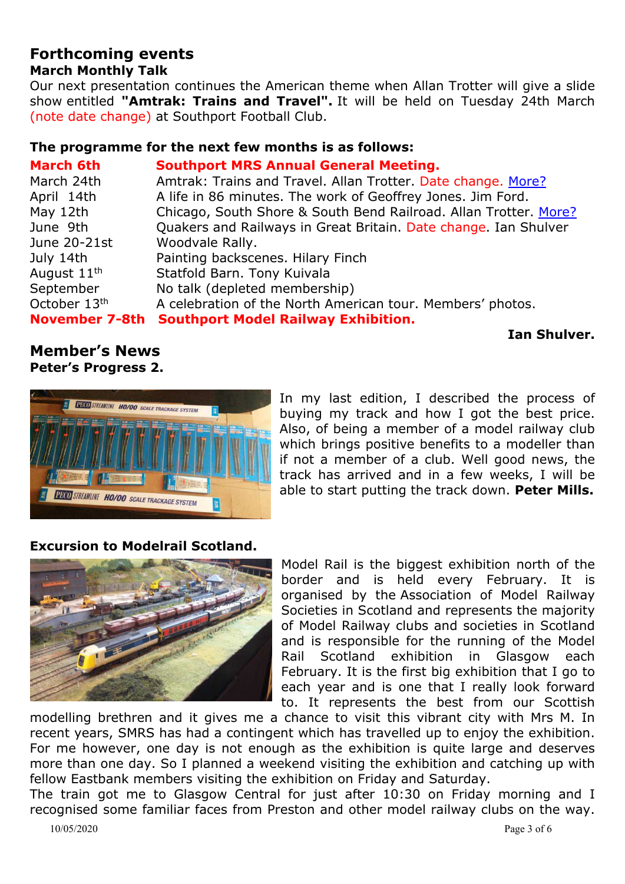# **Forthcoming events**

# **March Monthly Talk**

Our next presentation continues the American theme when Allan Trotter will give a slide show entitled **"Amtrak: Trains and Travel".** It will be held on Tuesday 24th March (note date change) at Southport Football Club.

#### **The programme for the next few months is as follows:**

| <b>March 6th</b>        | <b>Southport MRS Annual General Meeting.</b>                     |
|-------------------------|------------------------------------------------------------------|
| March 24th              | Amtrak: Trains and Travel. Allan Trotter. Date change. More?     |
| April 14th              | A life in 86 minutes. The work of Geoffrey Jones. Jim Ford.      |
| May 12th                | Chicago, South Shore & South Bend Railroad. Allan Trotter. More? |
| June 9th                | Quakers and Railways in Great Britain. Date change. Ian Shulver  |
| June 20-21st            | Woodvale Rally.                                                  |
| July 14th               | Painting backscenes. Hilary Finch                                |
| August 11 <sup>th</sup> | Statfold Barn. Tony Kuivala                                      |
| September               | No talk (depleted membership)                                    |
| October 13th            | A celebration of the North American tour. Members' photos.       |
| <b>November 7-8th</b>   | <b>Southport Model Railway Exhibition.</b>                       |

**Ian Shulver.**

#### **Member's News Peter's Progress 2.**



In my last edition, I described the process of buying my track and how I got the best price. Also, of being a member of a model railway club which brings positive benefits to a modeller than if not a member of a club. Well good news, the track has arrived and in a few weeks, I will be able to start putting the track down. **Peter Mills.**

# **Excursion to Modelrail Scotland.**



Model Rail is the biggest exhibition north of the border and is held every February. It is organised by the Association of Model Railway Societies in Scotland and represents the majority of Model Railway clubs and societies in Scotland and is responsible for the running of the Model Rail Scotland exhibition in Glasgow each February. It is the first big exhibition that I go to each year and is one that I really look forward to. It represents the best from our Scottish

modelling brethren and it gives me a chance to visit this vibrant city with Mrs M. In recent years, SMRS has had a contingent which has travelled up to enjoy the exhibition. For me however, one day is not enough as the exhibition is quite large and deserves more than one day. So I planned a weekend visiting the exhibition and catching up with fellow Eastbank members visiting the exhibition on Friday and Saturday.

The train got me to Glasgow Central for just after 10:30 on Friday morning and I recognised some familiar faces from Preston and other model railway clubs on the way.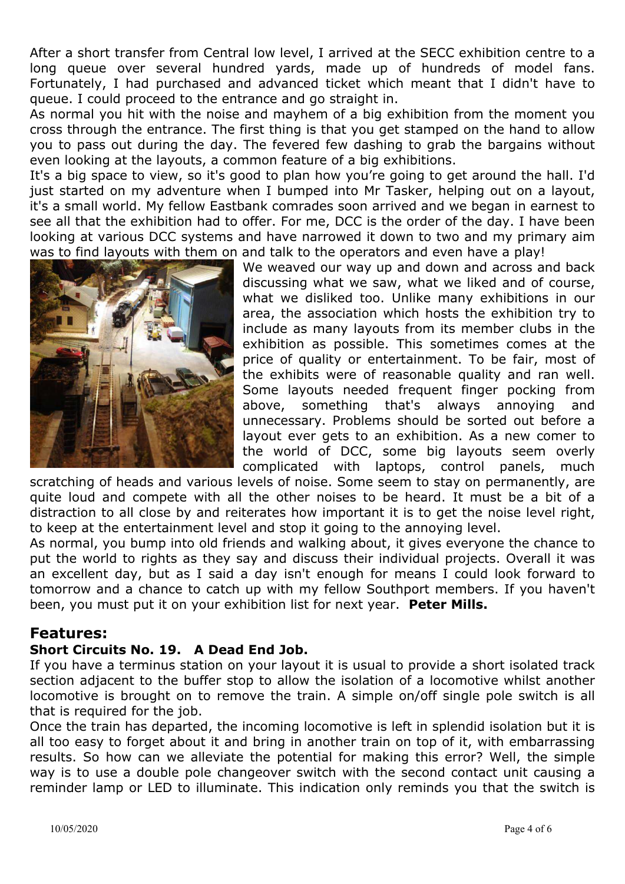After a short transfer from Central low level, I arrived at the SECC exhibition centre to a long queue over several hundred yards, made up of hundreds of model fans. Fortunately, I had purchased and advanced ticket which meant that I didn't have to queue. I could proceed to the entrance and go straight in.

As normal you hit with the noise and mayhem of a big exhibition from the moment you cross through the entrance. The first thing is that you get stamped on the hand to allow you to pass out during the day. The fevered few dashing to grab the bargains without even looking at the layouts, a common feature of a big exhibitions.

It's a big space to view, so it's good to plan how you're going to get around the hall. I'd just started on my adventure when I bumped into Mr Tasker, helping out on a layout, it's a small world. My fellow Eastbank comrades soon arrived and we began in earnest to see all that the exhibition had to offer. For me, DCC is the order of the day. I have been looking at various DCC systems and have narrowed it down to two and my primary aim was to find layouts with them on and talk to the operators and even have a play!



We weaved our way up and down and across and back discussing what we saw, what we liked and of course, what we disliked too. Unlike many exhibitions in our area, the association which hosts the exhibition try to include as many layouts from its member clubs in the exhibition as possible. This sometimes comes at the price of quality or entertainment. To be fair, most of the exhibits were of reasonable quality and ran well. Some layouts needed frequent finger pocking from above, something that's always annoying and unnecessary. Problems should be sorted out before a layout ever gets to an exhibition. As a new comer to the world of DCC, some big layouts seem overly complicated with laptops, control panels, much

scratching of heads and various levels of noise. Some seem to stay on permanently, are quite loud and compete with all the other noises to be heard. It must be a bit of a distraction to all close by and reiterates how important it is to get the noise level right, to keep at the entertainment level and stop it going to the annoying level.

As normal, you bump into old friends and walking about, it gives everyone the chance to put the world to rights as they say and discuss their individual projects. Overall it was an excellent day, but as I said a day isn't enough for means I could look forward to tomorrow and a chance to catch up with my fellow Southport members. If you haven't been, you must put it on your exhibition list for next year. **Peter Mills.**

# **Features:**

# **Short Circuits No. 19. A Dead End Job.**

If you have a terminus station on your layout it is usual to provide a short isolated track section adjacent to the buffer stop to allow the isolation of a locomotive whilst another locomotive is brought on to remove the train. A simple on/off single pole switch is all that is required for the job.

Once the train has departed, the incoming locomotive is left in splendid isolation but it is all too easy to forget about it and bring in another train on top of it, with embarrassing results. So how can we alleviate the potential for making this error? Well, the simple way is to use a double pole changeover switch with the second contact unit causing a reminder lamp or LED to illuminate. This indication only reminds you that the switch is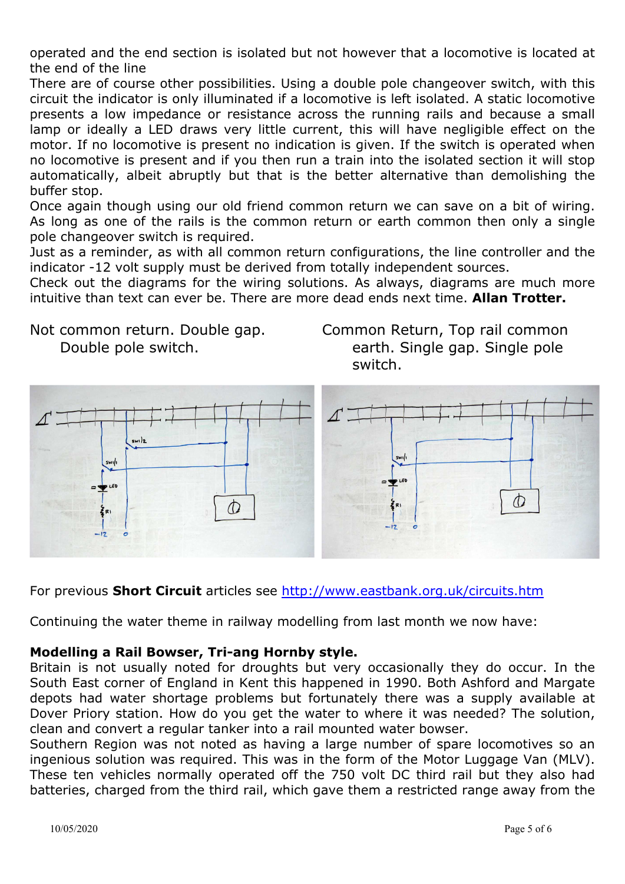operated and the end section is isolated but not however that a locomotive is located at the end of the line

There are of course other possibilities. Using a double pole changeover switch, with this circuit the indicator is only illuminated if a locomotive is left isolated. A static locomotive presents a low impedance or resistance across the running rails and because a small lamp or ideally a LED draws very little current, this will have negligible effect on the motor. If no locomotive is present no indication is given. If the switch is operated when no locomotive is present and if you then run a train into the isolated section it will stop automatically, albeit abruptly but that is the better alternative than demolishing the buffer stop.

Once again though using our old friend common return we can save on a bit of wiring. As long as one of the rails is the common return or earth common then only a single pole changeover switch is required.

Just as a reminder, as with all common return configurations, the line controller and the indicator -12 volt supply must be derived from totally independent sources.

Check out the diagrams for the wiring solutions. As always, diagrams are much more intuitive than text can ever be. There are more dead ends next time. **Allan Trotter.**

Not common return. Double gap. Double pole switch.

Common Return, Top rail common earth. Single gap. Single pole switch.



For previous **Short Circuit** articles see <http://www.eastbank.org.uk/circuits.htm>

Continuing the water theme in railway modelling from last month we now have:

#### **Modelling a Rail Bowser, Tri-ang Hornby style.**

Britain is not usually noted for droughts but very occasionally they do occur. In the South East corner of England in Kent this happened in 1990. Both Ashford and Margate depots had water shortage problems but fortunately there was a supply available at Dover Priory station. How do you get the water to where it was needed? The solution, clean and convert a regular tanker into a rail mounted water bowser.

Southern Region was not noted as having a large number of spare locomotives so an ingenious solution was required. This was in the form of the Motor Luggage Van (MLV). These ten vehicles normally operated off the 750 volt DC third rail but they also had batteries, charged from the third rail, which gave them a restricted range away from the